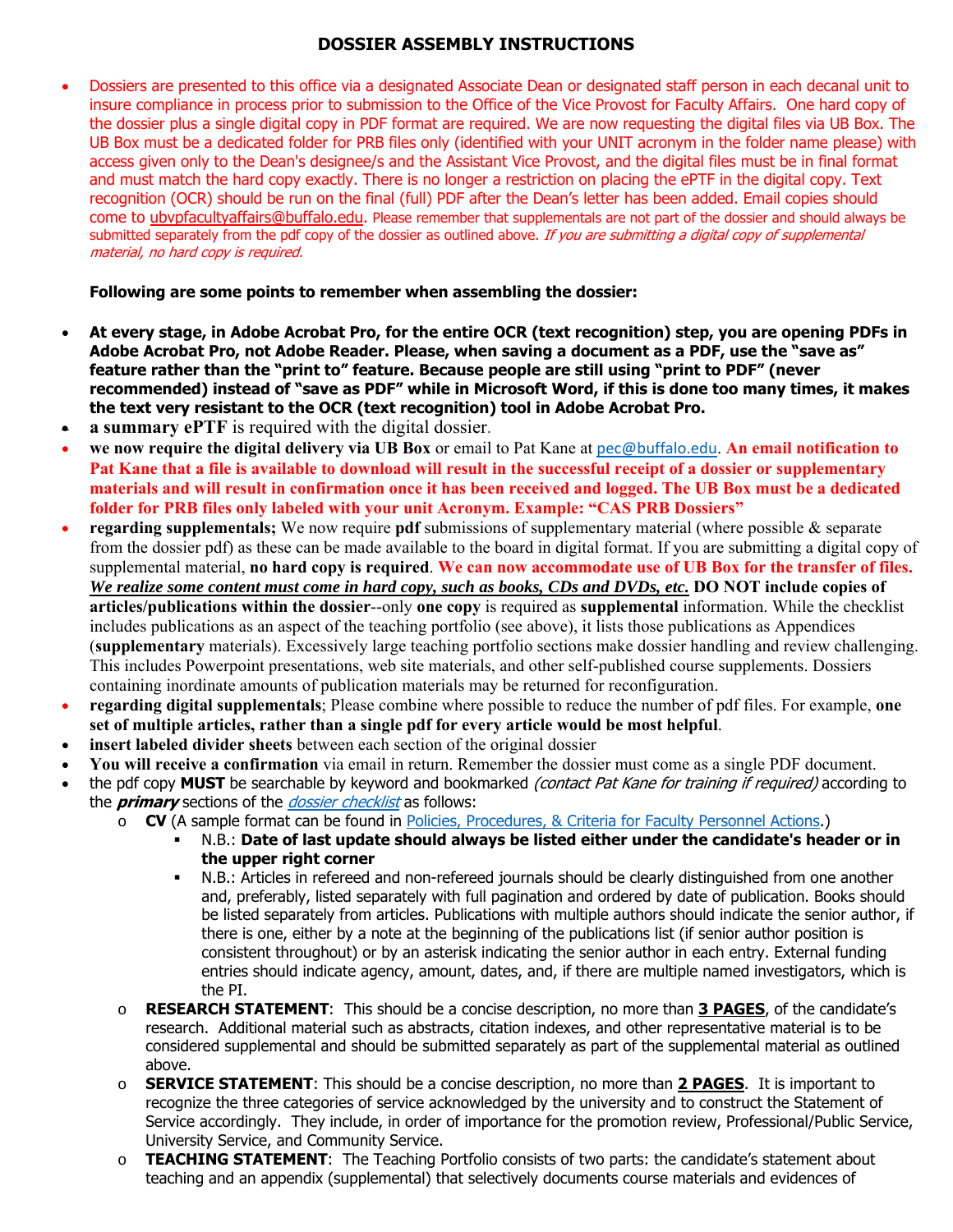## **DOSSIER ASSEMBLY INSTRUCTIONS**

 Dossiers are presented to this office via a designated Associate Dean or designated staff person in each decanal unit to insure compliance in process prior to submission to the Office of the Vice Provost for Faculty Affairs. One hard copy of the dossier plus a single digital copy in PDF format are required. We are now requesting the digital files via UB Box. The UB Box must be a dedicated folder for PRB files only (identified with your UNIT acronym in the folder name please) with access given only to the Dean's designee/s and the Assistant Vice Provost, and the digital files must be in final format and must match the hard copy exactly. There is no longer a restriction on placing the ePTF in the digital copy. Text recognition (OCR) should be run on the final (full) PDF after the Dean's letter has been added. Email copies should come to ubvpfacultyaffairs@buffalo.edu. Please remember that supplementals are not part of the dossier and should always be submitted separately from the pdf copy of the dossier as outlined above. If you are submitting a digital copy of supplemental material, no hard copy is required.

## **Following are some points to remember when assembling the dossier:**

- **At every stage, in Adobe Acrobat Pro, for the entire OCR (text recognition) step, you are opening PDFs in Adobe Acrobat Pro, not Adobe Reader. Please, when saving a document as a PDF, use the "save as" feature rather than the "print to" feature. Because people are still using "print to PDF" (never recommended) instead of "save as PDF" while in Microsoft Word, if this is done too many times, it makes the text very resistant to the OCR (text recognition) tool in Adobe Acrobat Pro.**
- **a summary ePTF** is required with the digital dossier.
- **we now require the digital delivery via UB Box** or email to Pat Kane at pec@buffalo.edu. **An email notification to Pat Kane that a file is available to download will result in the successful receipt of a dossier or supplementary materials and will result in confirmation once it has been received and logged. The UB Box must be a dedicated folder for PRB files only labeled with your unit Acronym. Example: "CAS PRB Dossiers"**
- **regarding supplementals;** We now require **pdf** submissions of supplementary material (where possible & separate from the dossier pdf) as these can be made available to the board in digital format. If you are submitting a digital copy of supplemental material, **no hard copy is required**. **We can now accommodate use of UB Box for the transfer of files.** *We realize some content must come in hard copy, such as books, CDs and DVDs, etc.* **DO NOT include copies of articles/publications within the dossier**--only **one copy** is required as **supplemental** information. While the checklist includes publications as an aspect of the teaching portfolio (see above), it lists those publications as Appendices (**supplementary** materials). Excessively large teaching portfolio sections make dossier handling and review challenging. This includes Powerpoint presentations, web site materials, and other self-published course supplements. Dossiers containing inordinate amounts of publication materials may be returned for reconfiguration.
- **regarding digital supplementals**; Please combine where possible to reduce the number of pdf files. For example, **one set of multiple articles, rather than a single pdf for every article would be most helpful**.
- **insert labeled divider sheets** between each section of the original dossier
- **You will receive a confirmation** via email in return. Remember the dossier must come as a single PDF document.
- the pdf copy **MUST** be searchable by keyword and bookmarked *(contact Pat Kane for training if required)* according to the **primary** sections of the *dossier checklist* as follows:
	- o **CV** (A sample format can be found in Policies, Procedures, & Criteria for Faculty Personnel Actions.)
		- N.B.: **Date of last update should always be listed either under the candidate's header or in the upper right corner**
		- N.B.: Articles in refereed and non-refereed journals should be clearly distinguished from one another and, preferably, listed separately with full pagination and ordered by date of publication. Books should be listed separately from articles. Publications with multiple authors should indicate the senior author, if there is one, either by a note at the beginning of the publications list (if senior author position is consistent throughout) or by an asterisk indicating the senior author in each entry. External funding entries should indicate agency, amount, dates, and, if there are multiple named investigators, which is the PI.
	- o **RESEARCH STATEMENT**: This should be a concise description, no more than **3 PAGES**, of the candidate's research. Additional material such as abstracts, citation indexes, and other representative material is to be considered supplemental and should be submitted separately as part of the supplemental material as outlined above.
	- o **SERVICE STATEMENT**: This should be a concise description, no more than **2 PAGES**. It is important to recognize the three categories of service acknowledged by the university and to construct the Statement of Service accordingly. They include, in order of importance for the promotion review, Professional/Public Service, University Service, and Community Service.
	- o **TEACHING STATEMENT**: The Teaching Portfolio consists of two parts: the candidate's statement about teaching and an appendix (supplemental) that selectively documents course materials and evidences of